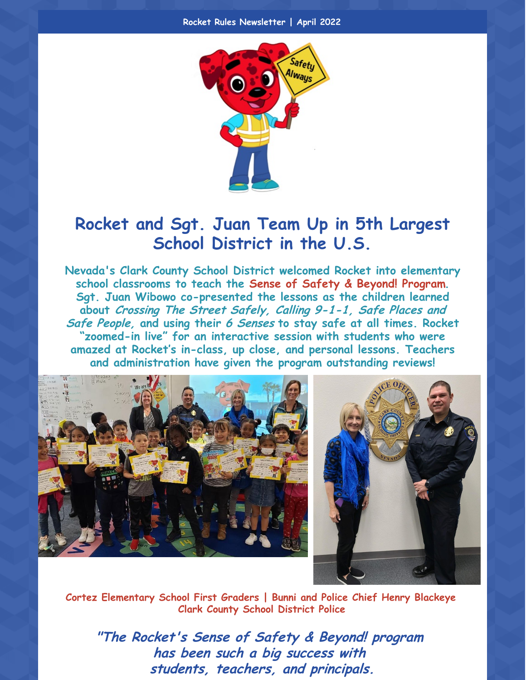

## **Rocket and Sgt. Juan Team Up in 5th Largest School District in the U.S.**

**Nevada's Clark County School District welcomed Rocket into elementary school classrooms to teach the Sense of Safety & Beyond! Program. Sgt. Juan Wibowo co-presented the lessons as the children learned about Crossing The Street Safely, Calling 9-1-1, Safe Places and Safe People, and using their 6 Senses to stay safe at all times. Rocket "zoomed-in live" for an interactive session with students who were amazed at Rocket's in-class, up close, and personal lessons. Teachers and administration have given the program outstanding reviews!**





**Cortez Elementary School First Graders | Bunni and Police Chief Henry Blackeye Clark County School District Police**

**"The Rocket's Sense of Safety & Beyond! program has been such <sup>a</sup> big success with students, teachers, and principals.**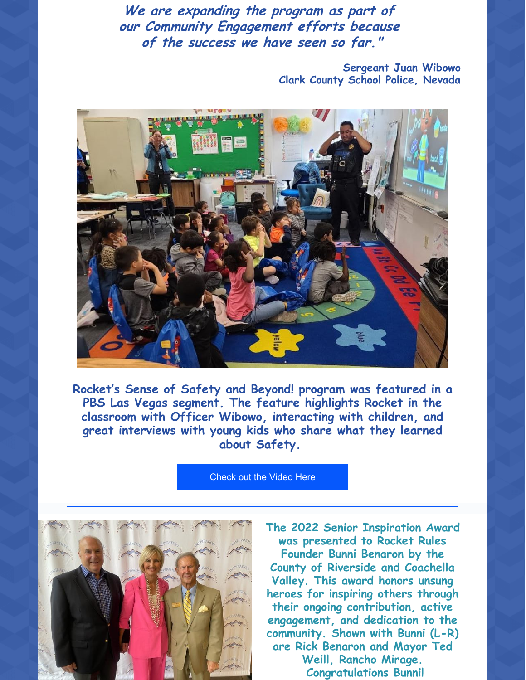**We are expanding the program as part of our Community Engagement efforts because of the success we have seen so far."**

> **Sergeant Juan Wibowo Clark County School Police, Nevada**



**Rocket's Sense of Safety and Beyond! program was featured in a PBS Las Vegas segment. The feature highlights Rocket in the classroom with Officer Wibowo, interacting with children, and great interviews with young kids who share what they learned about Safety.**

[Check](https://www.youtube.com/watch?v=9HzJg5h9tr4) out the Video Here



**The 2022 Senior Inspiration Award was presented to Rocket Rules Founder Bunni Benaron by the County of Riverside and Coachella Valley. This award honors unsung heroes for inspiring others through their ongoing contribution, active engagement, and dedication to the community. Shown with Bunni (L-R) are Rick Benaron and Mayor Ted Weill, Rancho Mirage. Congratulations Bunni!**